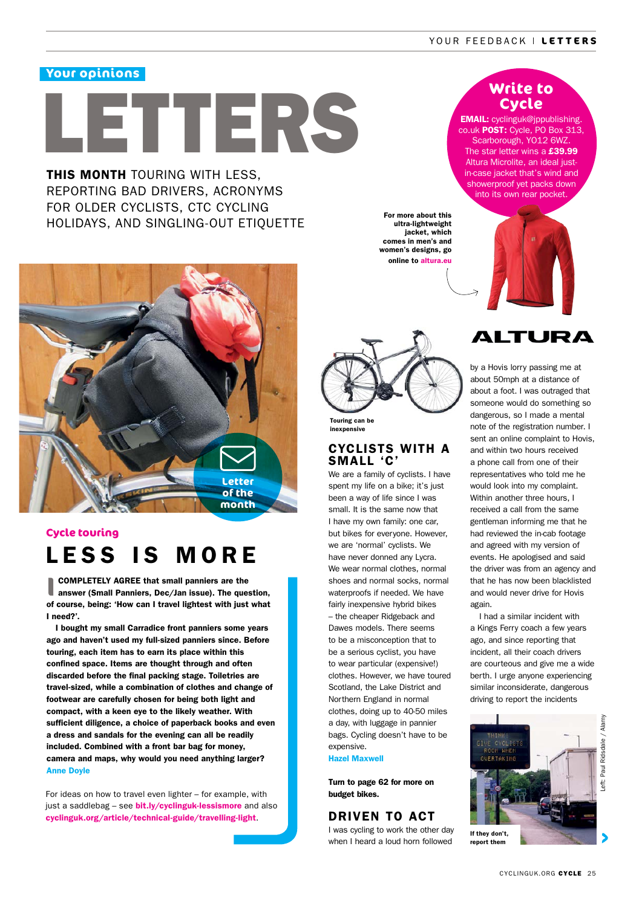### **Your opinions**

# LETTERS

**THIS MONTH TOURING WITH LESS.** REPORTING BAD DRIVERS, ACRONYMS FOR OLDER CYCLISTS, CTC CYCLING HOLIDAYS, AND SINGLING-OUT ETIQUETTE



## LESS IS MORE **Cycle touring**

**I** COMPLETELY AGREE that small panniers are the answer (Small Panniers, Dec/Jan issue). The question, of course, being: 'How can I travel lightest with just what I need?'.

I bought my small Carradice front panniers some years ago and haven't used my full-sized panniers since. Before touring, each item has to earn its place within this confined space. Items are thought through and often discarded before the final packing stage. Toiletries are travel-sized, while a combination of clothes and change of footwear are carefully chosen for being both light and compact, with a keen eye to the likely weather. With sufficient diligence, a choice of paperback books and even a dress and sandals for the evening can all be readily included. Combined with a front bar bag for money, camera and maps, why would you need anything larger? Anne Doyle

For ideas on how to travel even lighter – for example, with just a saddlebag - see **bit.ly/cyclinguk-lessismore** and also cyclinguk.org/article/technical-guide/travelling-light.

## **Write to Cycle**

EMAIL: cyclinguk@jppublishing. co.uk POST: Cycle, PO Box 313, Scarborough, YO12 6WZ. The star letter wins a  $£39.99$ Altura Microlite, an ideal justin-case jacket that's wind and showerproof yet packs down into its own rear pocket.



For more about this ultra-lightweight jacket, which comes in men's and women's designs, go online to altura.eu

#### inexpensive

#### CYCLISTS WITH A SMALL 'C'

We are a family of cyclists. I have spent my life on a bike; it's just been a way of life since I was small. It is the same now that I have my own family: one car, but bikes for everyone. However, we are 'normal' cyclists. We have never donned any Lycra. We wear normal clothes, normal shoes and normal socks, normal waterproofs if needed. We have fairly inexpensive hybrid bikes – the cheaper Ridgeback and Dawes models. There seems to be a misconception that to be a serious cyclist, you have to wear particular (expensive!) clothes. However, we have toured Scotland, the Lake District and Northern England in normal clothes, doing up to 40-50 miles a day, with luggage in pannier bags. Cycling doesn't have to be expensive.

#### Hazel Maxwell

Turn to page 62 for more on budget bikes.

#### DRIVEN TO ACT

I was cycling to work the other day when I heard a loud horn followed

## ALTURA

by a Hovis lorry passing me at about 50mph at a distance of about a foot. I was outraged that someone would do something so dangerous, so I made a mental note of the registration number. I sent an online complaint to Hovis, and within two hours received a phone call from one of their representatives who told me he would look into my complaint. Within another three hours, I received a call from the same gentleman informing me that he had reviewed the in-cab footage and agreed with my version of events. He apologised and said the driver was from an agency and that he has now been blacklisted and would never drive for Hovis again.

I had a similar incident with a Kings Ferry coach a few years ago, and since reporting that incident, all their coach drivers are courteous and give me a wide berth. I urge anyone experiencing similar inconsiderate, dangerous driving to report the incidents



Left: Paul Ridsdale / AlamyRidsdale Paul Left: I